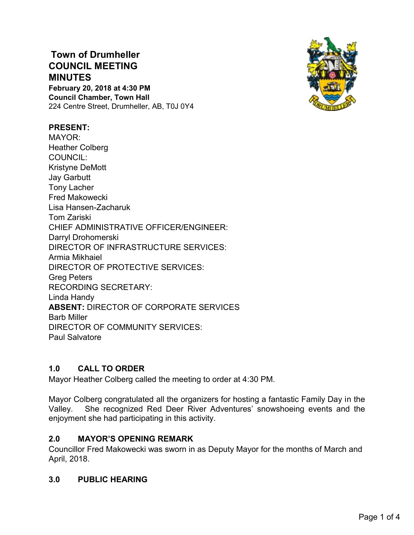# **Town of Drumheller COUNCIL MEETING MINUTES**

**February 20, 2018 at 4:30 PM Council Chamber, Town Hall** 224 Centre Street, Drumheller, AB, T0J 0Y4



## **PRESENT:**

MAYOR: Heather Colberg COUNCIL: Kristyne DeMott Jay Garbutt Tony Lacher Fred Makowecki Lisa Hansen-Zacharuk Tom Zariski CHIEF ADMINISTRATIVE OFFICER/ENGINEER: Darryl Drohomerski DIRECTOR OF INFRASTRUCTURE SERVICES: Armia Mikhaiel DIRECTOR OF PROTECTIVE SERVICES: Greg Peters RECORDING SECRETARY: Linda Handy **ABSENT:** DIRECTOR OF CORPORATE SERVICES Barb Miller DIRECTOR OF COMMUNITY SERVICES: Paul Salvatore

## **1.0 CALL TO ORDER**

Mayor Heather Colberg called the meeting to order at 4:30 PM.

Mayor Colberg congratulated all the organizers for hosting a fantastic Family Day in the Valley. She recognized Red Deer River Adventures' snowshoeing events and the enjoyment she had participating in this activity.

### **2.0 MAYOR'S OPENING REMARK**

Councillor Fred Makowecki was sworn in as Deputy Mayor for the months of March and April, 2018.

### **3.0 PUBLIC HEARING**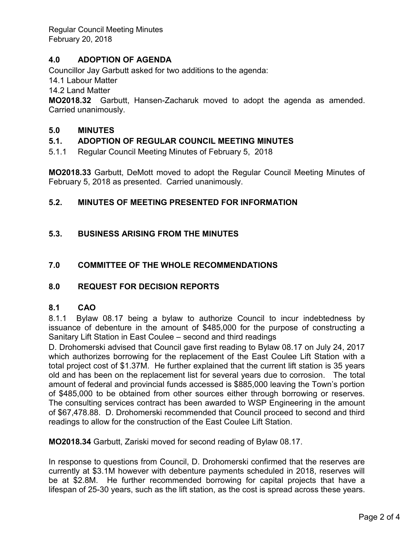Regular Council Meeting Minutes February 20, 2018

## **4.0 ADOPTION OF AGENDA**

Councillor Jay Garbutt asked for two additions to the agenda:

14.1 Labour Matter

14.2 Land Matter

**MO2018.32** Garbutt, Hansen-Zacharuk moved to adopt the agenda as amended. Carried unanimously.

#### **5.0 MINUTES**

### **5.1. ADOPTION OF REGULAR COUNCIL MEETING MINUTES**

5.1.1 Regular Council Meeting Minutes of February 5, 2018

**MO2018.33** Garbutt, DeMott moved to adopt the Regular Council Meeting Minutes of February 5, 2018 as presented. Carried unanimously.

#### **5.2. MINUTES OF MEETING PRESENTED FOR INFORMATION**

### **5.3. BUSINESS ARISING FROM THE MINUTES**

#### **7.0 COMMITTEE OF THE WHOLE RECOMMENDATIONS**

#### **8.0 REQUEST FOR DECISION REPORTS**

#### **8.1 CAO**

8.1.1 Bylaw 08.17 being a bylaw to authorize Council to incur indebtedness by issuance of debenture in the amount of \$485,000 for the purpose of constructing a Sanitary Lift Station in East Coulee – second and third readings

D. Drohomerski advised that Council gave first reading to Bylaw 08.17 on July 24, 2017 which authorizes borrowing for the replacement of the East Coulee Lift Station with a total project cost of \$1.37M. He further explained that the current lift station is 35 years old and has been on the replacement list for several years due to corrosion. The total amount of federal and provincial funds accessed is \$885,000 leaving the Town's portion of \$485,000 to be obtained from other sources either through borrowing or reserves. The consulting services contract has been awarded to WSP Engineering in the amount of \$67,478.88. D. Drohomerski recommended that Council proceed to second and third readings to allow for the construction of the East Coulee Lift Station.

**MO2018.34** Garbutt, Zariski moved for second reading of Bylaw 08.17.

In response to questions from Council, D. Drohomerski confirmed that the reserves are currently at \$3.1M however with debenture payments scheduled in 2018, reserves will be at \$2.8M. He further recommended borrowing for capital projects that have a lifespan of 25-30 years, such as the lift station, as the cost is spread across these years.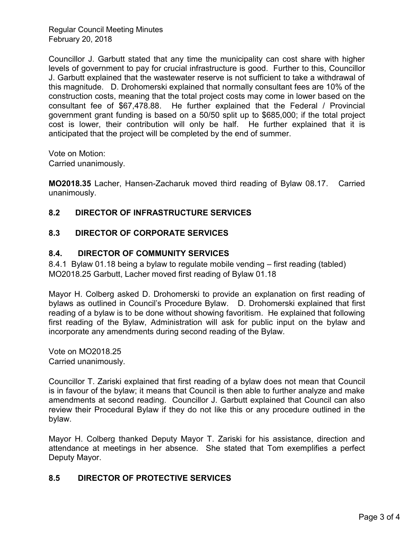Regular Council Meeting Minutes February 20, 2018

Councillor J. Garbutt stated that any time the municipality can cost share with higher levels of government to pay for crucial infrastructure is good. Further to this, Councillor J. Garbutt explained that the wastewater reserve is not sufficient to take a withdrawal of this magnitude. D. Drohomerski explained that normally consultant fees are 10% of the construction costs, meaning that the total project costs may come in lower based on the consultant fee of \$67,478.88. He further explained that the Federal / Provincial government grant funding is based on a 50/50 split up to \$685,000; if the total project cost is lower, their contribution will only be half. He further explained that it is anticipated that the project will be completed by the end of summer.

Vote on Motion:

Carried unanimously.

**MO2018.35** Lacher, Hansen-Zacharuk moved third reading of Bylaw 08.17. Carried unanimously.

# **8.2 DIRECTOR OF INFRASTRUCTURE SERVICES**

# **8.3 DIRECTOR OF CORPORATE SERVICES**

## **8.4. DIRECTOR OF COMMUNITY SERVICES**

8.4.1 Bylaw 01.18 being a bylaw to regulate mobile vending – first reading (tabled) MO2018.25 Garbutt, Lacher moved first reading of Bylaw 01.18

Mayor H. Colberg asked D. Drohomerski to provide an explanation on first reading of bylaws as outlined in Council's Procedure Bylaw. D. Drohomerski explained that first reading of a bylaw is to be done without showing favoritism. He explained that following first reading of the Bylaw, Administration will ask for public input on the bylaw and incorporate any amendments during second reading of the Bylaw.

Vote on MO2018.25 Carried unanimously.

Councillor T. Zariski explained that first reading of a bylaw does not mean that Council is in favour of the bylaw; it means that Council is then able to further analyze and make amendments at second reading. Councillor J. Garbutt explained that Council can also review their Procedural Bylaw if they do not like this or any procedure outlined in the bylaw.

Mayor H. Colberg thanked Deputy Mayor T. Zariski for his assistance, direction and attendance at meetings in her absence. She stated that Tom exemplifies a perfect Deputy Mayor.

## **8.5 DIRECTOR OF PROTECTIVE SERVICES**